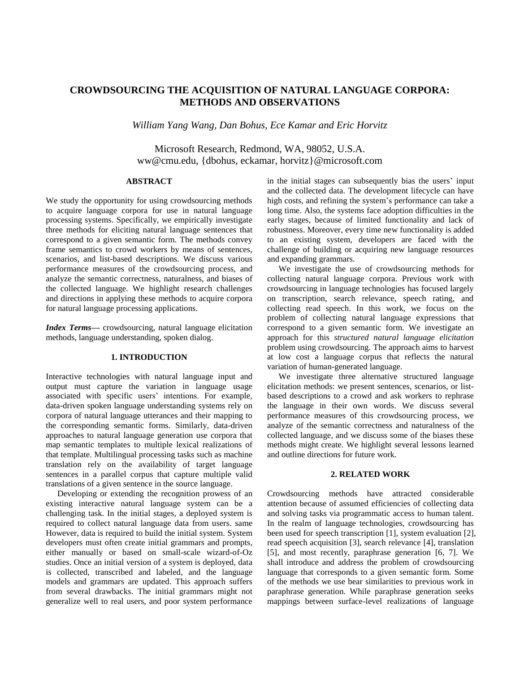# **CROWDSOURCING THE ACQUISITION OF NATURAL LANGUAGE CORPORA: METHODS AND OBSERVATIONS**

*William Yang Wang, Dan Bohus, Ece Kamar and Eric Horvitz*

Microsoft Research, Redmond, WA, 98052, U.S.A. ww@cmu.edu, {dbohus, eckamar, horvitz}@microsoft.com

# **ABSTRACT**

We study the opportunity for using crowdsourcing methods to acquire language corpora for use in natural language processing systems. Specifically, we empirically investigate three methods for eliciting natural language sentences that correspond to a given semantic form. The methods convey frame semantics to crowd workers by means of sentences, scenarios, and list-based descriptions. We discuss various performance measures of the crowdsourcing process, and analyze the semantic correctness, naturalness, and biases of the collected language. We highlight research challenges and directions in applying these methods to acquire corpora for natural language processing applications.

*Index Terms—* crowdsourcing, natural language elicitation methods, language understanding, spoken dialog.

# **1. INTRODUCTION**

Interactive technologies with natural language input and output must capture the variation in language usage associated with specific users' intentions. For example, data-driven spoken language understanding systems rely on corpora of natural language utterances and their mapping to the corresponding semantic forms. Similarly, data-driven approaches to natural language generation use corpora that map semantic templates to multiple lexical realizations of that template. Multilingual processing tasks such as machine translation rely on the availability of target language sentences in a parallel corpus that capture multiple valid translations of a given sentence in the source language.

Developing or extending the recognition prowess of an existing interactive natural language system can be a challenging task. In the initial stages, a deployed system is required to collect natural language data from users. same However, data is required to build the initial system. System developers must often create initial grammars and prompts, either manually or based on small-scale wizard-of-Oz studies. Once an initial version of a system is deployed, data is collected, transcribed and labeled, and the language models and grammars are updated. This approach suffers from several drawbacks. The initial grammars might not generalize well to real users, and poor system performance

in the initial stages can subsequently bias the users' input and the collected data. The development lifecycle can have high costs, and refining the system's performance can take a long time. Also, the systems face adoption difficulties in the early stages, because of limited functionality and lack of robustness. Moreover, every time new functionality is added to an existing system, developers are faced with the challenge of building or acquiring new language resources and expanding grammars.

We investigate the use of crowdsourcing methods for collecting natural language corpora. Previous work with crowdsourcing in language technologies has focused largely on transcription, search relevance, speech rating, and collecting read speech. In this work, we focus on the problem of collecting natural language expressions that correspond to a given semantic form. We investigate an approach for this *structured natural language elicitation* problem using crowdsourcing. The approach aims to harvest at low cost a language corpus that reflects the natural variation of human-generated language.

We investigate three alternative structured language elicitation methods: we present sentences, scenarios, or listbased descriptions to a crowd and ask workers to rephrase the language in their own words. We discuss several performance measures of this crowdsourcing process, we analyze of the semantic correctness and naturalness of the collected language, and we discuss some of the biases these methods might create. We highlight several lessons learned and outline directions for future work.

### **2. RELATED WORK**

Crowdsourcing methods have attracted considerable attention because of assumed efficiencies of collecting data and solving tasks via programmatic access to human talent. In the realm of language technologies, crowdsourcing has been used for speech transcription [1], system evaluation [2], read speech acquisition [3], search relevance [4], translation [5], and most recently, paraphrase generation [6, 7]. We shall introduce and address the problem of crowdsourcing language that corresponds to a given semantic form. Some of the methods we use bear similarities to previous work in paraphrase generation. While paraphrase generation seeks mappings between surface-level realizations of language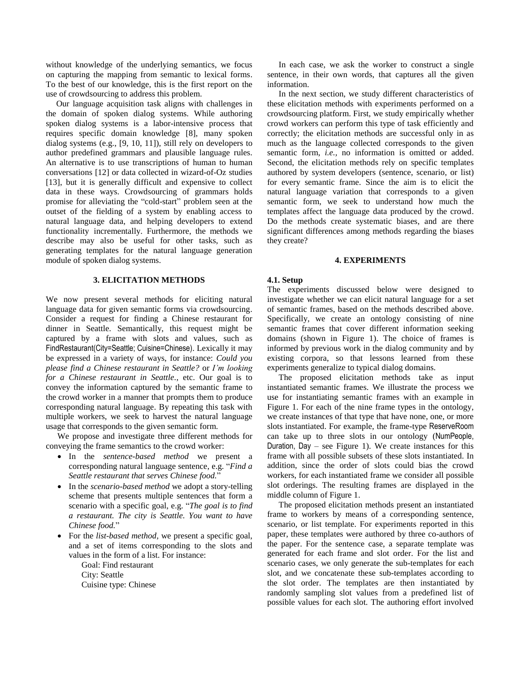without knowledge of the underlying semantics, we focus on capturing the mapping from semantic to lexical forms. To the best of our knowledge, this is the first report on the use of crowdsourcing to address this problem.

Our language acquisition task aligns with challenges in the domain of spoken dialog systems. While authoring spoken dialog systems is a labor-intensive process that requires specific domain knowledge [8], many spoken dialog systems (e.g., [9, 10, 11]), still rely on developers to author predefined grammars and plausible language rules. An alternative is to use transcriptions of human to human conversations [12] or data collected in wizard-of-Oz studies [13], but it is generally difficult and expensive to collect data in these ways. Crowdsourcing of grammars holds promise for alleviating the "cold-start" problem seen at the outset of the fielding of a system by enabling access to natural language data, and helping developers to extend functionality incrementally. Furthermore, the methods we describe may also be useful for other tasks, such as generating templates for the natural language generation module of spoken dialog systems.

# **3. ELICITATION METHODS**

We now present several methods for eliciting natural language data for given semantic forms via crowdsourcing. Consider a request for finding a Chinese restaurant for dinner in Seattle. Semantically, this request might be captured by a frame with slots and values, such as FindRestaurant(City=Seattle; Cuisine=Chinese). Lexically it may be expressed in a variety of ways, for instance: *Could you please find a Chinese restaurant in Seattle?* or *I'm looking for a Chinese restaurant in Seattle.*, etc. Our goal is to convey the information captured by the semantic frame to the crowd worker in a manner that prompts them to produce corresponding natural language. By repeating this task with multiple workers, we seek to harvest the natural language usage that corresponds to the given semantic form.

We propose and investigate three different methods for conveying the frame semantics to the crowd worker:

- In the *sentence-based method* we present a corresponding natural language sentence, e.g. "*Find a Seattle restaurant that serves Chinese food.*"
- In the *scenario-based method* we adopt a story-telling scheme that presents multiple sentences that form a scenario with a specific goal, e.g. "*The goal is to find a restaurant. The city is Seattle. You want to have Chinese food.*"
- For the *list-based method,* we present a specific goal, and a set of items corresponding to the slots and values in the form of a list. For instance:
	- Goal: Find restaurant City: Seattle
	- Cuisine type: Chinese

In each case, we ask the worker to construct a single sentence, in their own words, that captures all the given information.

In the next section, we study different characteristics of these elicitation methods with experiments performed on a crowdsourcing platform. First, we study empirically whether crowd workers can perform this type of task efficiently and correctly; the elicitation methods are successful only in as much as the language collected corresponds to the given semantic form, *i.e.,* no information is omitted or added. Second, the elicitation methods rely on specific templates authored by system developers (sentence, scenario, or list) for every semantic frame. Since the aim is to elicit the natural language variation that corresponds to a given semantic form, we seek to understand how much the templates affect the language data produced by the crowd. Do the methods create systematic biases, and are there significant differences among methods regarding the biases they create?

#### **4. EXPERIMENTS**

#### **4.1. Setup**

The experiments discussed below were designed to investigate whether we can elicit natural language for a set of semantic frames, based on the methods described above. Specifically, we create an ontology consisting of nine semantic frames that cover different information seeking domains (shown in Figure 1). The choice of frames is informed by previous work in the dialog community and by existing corpora, so that lessons learned from these experiments generalize to typical dialog domains.

The proposed elicitation methods take as input instantiated semantic frames. We illustrate the process we use for instantiating semantic frames with an example in Figure 1. For each of the nine frame types in the ontology, we create instances of that type that have none, one, or more slots instantiated. For example, the frame-type ReserveRoom can take up to three slots in our ontology (NumPeople, Duration,  $Day - see Figure 1$ . We create instances for this frame with all possible subsets of these slots instantiated. In addition, since the order of slots could bias the crowd workers, for each instantiated frame we consider all possible slot orderings. The resulting frames are displayed in the middle column of Figure 1.

The proposed elicitation methods present an instantiated frame to workers by means of a corresponding sentence, scenario, or list template. For experiments reported in this paper, these templates were authored by three co-authors of the paper. For the sentence case, a separate template was generated for each frame and slot order. For the list and scenario cases, we only generate the sub-templates for each slot, and we concatenate these sub-templates according to the slot order. The templates are then instantiated by randomly sampling slot values from a predefined list of possible values for each slot. The authoring effort involved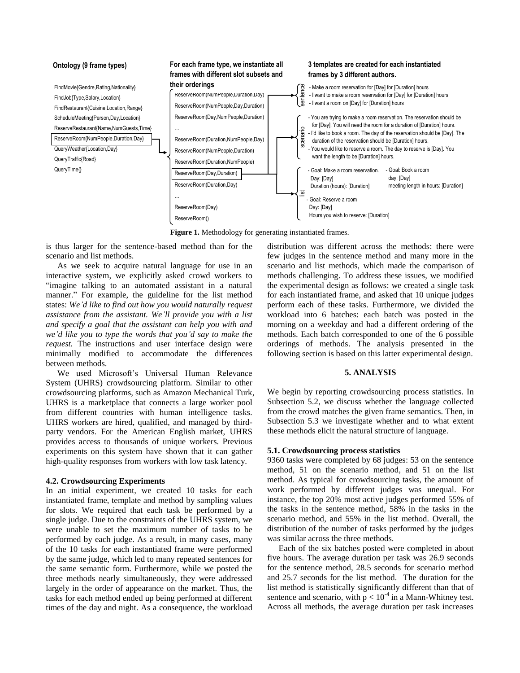

**Figure 1.** Methodology for generating instantiated frames.

is thus larger for the sentence-based method than for the scenario and list methods.

As we seek to acquire natural language for use in an interactive system, we explicitly asked crowd workers to "imagine talking to an automated assistant in a natural manner." For example, the guideline for the list method states: *We'd like to find out how you would naturally request assistance from the assistant. We'll provide you with a list and specify a goal that the assistant can help you with and we'd like you to type the words that you'd say to make the request.* The instructions and user interface design were minimally modified to accommodate the differences between methods.

We used Microsoft's Universal Human Relevance System (UHRS) crowdsourcing platform. Similar to other crowdsourcing platforms, such as Amazon Mechanical Turk, UHRS is a marketplace that connects a large worker pool from different countries with human intelligence tasks. UHRS workers are hired, qualified, and managed by thirdparty vendors. For the American English market, UHRS provides access to thousands of unique workers. Previous experiments on this system have shown that it can gather high-quality responses from workers with low task latency.

# **4.2. Crowdsourcing Experiments**

In an initial experiment, we created 10 tasks for each instantiated frame, template and method by sampling values for slots. We required that each task be performed by a single judge. Due to the constraints of the UHRS system, we were unable to set the maximum number of tasks to be performed by each judge. As a result, in many cases, many of the 10 tasks for each instantiated frame were performed by the same judge, which led to many repeated sentences for the same semantic form. Furthermore, while we posted the three methods nearly simultaneously, they were addressed largely in the order of appearance on the market. Thus, the tasks for each method ended up being performed at different times of the day and night. As a consequence, the workload

distribution was different across the methods: there were few judges in the sentence method and many more in the scenario and list methods, which made the comparison of methods challenging. To address these issues, we modified the experimental design as follows: we created a single task for each instantiated frame, and asked that 10 unique judges perform each of these tasks. Furthermore, we divided the workload into 6 batches: each batch was posted in the morning on a weekday and had a different ordering of the methods. Each batch corresponded to one of the 6 possible orderings of methods. The analysis presented in the following section is based on this latter experimental design.

## **5. ANALYSIS**

We begin by reporting crowdsourcing process statistics. In Subsection 5.2, we discuss whether the language collected from the crowd matches the given frame semantics. Then, in Subsection 5.3 we investigate whether and to what extent these methods elicit the natural structure of language.

#### **5.1. Crowdsourcing process statistics**

9360 tasks were completed by 68 judges: 53 on the sentence method, 51 on the scenario method, and 51 on the list method. As typical for crowdsourcing tasks, the amount of work performed by different judges was unequal. For instance, the top 20% most active judges performed 55% of the tasks in the sentence method, 58% in the tasks in the scenario method, and 55% in the list method. Overall, the distribution of the number of tasks performed by the judges was similar across the three methods.

Each of the six batches posted were completed in about five hours. The average duration per task was 26.9 seconds for the sentence method, 28.5 seconds for scenario method and 25.7 seconds for the list method. The duration for the list method is statistically significantly different than that of sentence and scenario, with  $p < 10^{-4}$  in a Mann-Whitney test. Across all methods, the average duration per task increases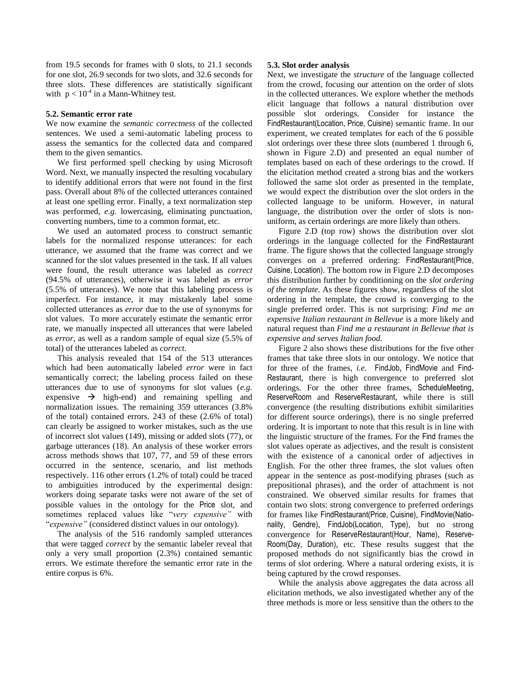from 19.5 seconds for frames with 0 slots, to 21.1 seconds for one slot, 26.9 seconds for two slots, and 32.6 seconds for three slots. These differences are statistically significant with  $p < 10^{-4}$  in a Mann-Whitney test.

#### **5.2. Semantic error rate**

We now examine the *semantic correctness* of the collected sentences. We used a semi-automatic labeling process to assess the semantics for the collected data and compared them to the given semantics.

We first performed spell checking by using Microsoft Word. Next, we manually inspected the resulting vocabulary to identify additional errors that were not found in the first pass. Overall about 8% of the collected utterances contained at least one spelling error. Finally, a text normalization step was performed, *e.g.* lowercasing, eliminating punctuation, converting numbers, time to a common format, etc.

We used an automated process to construct semantic labels for the normalized response utterances: for each utterance, we assumed that the frame was correct and we scanned for the slot values presented in the task. If all values were found, the result utterance was labeled as *correct* (94.5% of utterances), otherwise it was labeled as *error* (5.5% of utterances). We note that this labeling process is imperfect. For instance, it may mistakenly label some collected utterances as *error* due to the use of synonyms for slot values. To more accurately estimate the semantic error rate, we manually inspected all utterances that were labeled as *error*, as well as a random sample of equal size (5.5% of total) of the utterances labeled as *correct*.

This analysis revealed that 154 of the 513 utterances which had been automatically labeled *error* were in fact semantically correct; the labeling process failed on these utterances due to use of synonyms for slot values (*e.g.* expensive  $\rightarrow$  high-end) and remaining spelling and normalization issues. The remaining 359 utterances (3.8% of the total) contained errors. 243 of these (2.6% of total) can clearly be assigned to worker mistakes, such as the use of incorrect slot values (149), missing or added slots (77), or garbage utterances (18). An analysis of these worker errors across methods shows that 107, 77, and 59 of these errors occurred in the sentence, scenario, and list methods respectively. 116 other errors (1.2% of total) could be traced to ambiguities introduced by the experimental design: workers doing separate tasks were not aware of the set of possible values in the ontology for the Price slot, and sometimes replaced values like "*very expensive"* with "*expensive"* (considered distinct values in our ontology).

The analysis of the 516 randomly sampled utterances that were tagged *correct* by the semantic labeler reveal that only a very small proportion (2.3%) contained semantic errors. We estimate therefore the semantic error rate in the entire corpus is 6%.

# **5.3. Slot order analysis**

Next, we investigate the *structure* of the language collected from the crowd, focusing our attention on the order of slots in the collected utterances. We explore whether the methods elicit language that follows a natural distribution over possible slot orderings*.* Consider for instance the FindRestaurant(Location, Price, Cuisine) semantic frame. In our experiment, we created templates for each of the 6 possible slot orderings over these three slots (numbered 1 through 6, shown in Figure 2.D) and presented an equal number of templates based on each of these orderings to the crowd. If the elicitation method created a strong bias and the workers followed the same slot order as presented in the template, we would expect the distribution over the slot orders in the collected language to be uniform. However, in natural language, the distribution over the order of slots is nonuniform, as certain orderings are more likely than others.

Figure 2.D (top row) shows the distribution over slot orderings in the language collected for the FindRestaurant frame. The figure shows that the collected language strongly converges on a preferred ordering: FindRestaurant(Price, Cuisine, Location). The bottom row in Figure 2.D decomposes this distribution further by conditioning on the *slot ordering of the template*. As these figures show, regardless of the slot ordering in the template, the crowd is converging to the single preferred order. This is not surprising: *Find me an expensive Italian restaurant in Bellevue* is a more likely and natural request than *Find me a restaurant in Bellevue that is expensive and serves Italian food.* 

Figure 2 also shows these distributions for the five other frames that take three slots in our ontology. We notice that for three of the frames, *i.e.* FindJob, FindMovie and Find-Restaurant, there is high convergence to preferred slot orderings. For the other three frames, ScheduleMeeting, ReserveRoom and ReserveRestaurant, while there is still convergence (the resulting distributions exhibit similarities for different source orderings), there is no single preferred ordering. It is important to note that this result is in line with the linguistic structure of the frames. For the Find frames the slot values operate as adjectives, and the result is consistent with the existence of a canonical order of adjectives in English. For the other three frames, the slot values often appear in the sentence as post-modifying phrases (such as prepositional phrases), and the order of attachment is not constrained. We observed similar results for frames that contain two slots: strong convergence to preferred orderings for frames like FindRestaurant(Price, Cuisine), FindMovie(Nationality, Gendre), FindJob(Location, Type), but no strong convergence for ReserveRestaurant(Hour, Name), Reserve-Room(Day, Duration), etc. These results suggest that the proposed methods do not significantly bias the crowd in terms of slot ordering. Where a natural ordering exists, it is being captured by the crowd responses.

While the analysis above aggregates the data across all elicitation methods, we also investigated whether any of the three methods is more or less sensitive than the others to the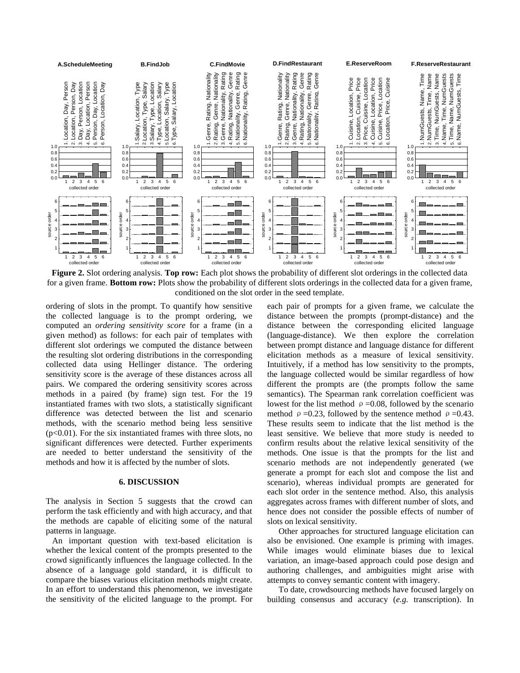

**Figure 2.** Slot ordering analysis. **Top row:** Each plot shows the probability of different slot orderings in the collected data for a given frame. **Bottom row:** Plots show the probability of different slots orderings in the collected data for a given frame, conditioned on the slot order in the seed template.

ordering of slots in the prompt. To quantify how sensitive the collected language is to the prompt ordering, we computed an *ordering sensitivity score* for a frame (in a given method) as follows: for each pair of templates with different slot orderings we computed the distance between the resulting slot ordering distributions in the corresponding collected data using Hellinger distance. The ordering sensitivity score is the average of these distances across all pairs. We compared the ordering sensitivity scores across methods in a paired (by frame) sign test. For the 19 instantiated frames with two slots, a statistically significant difference was detected between the list and scenario methods, with the scenario method being less sensitive  $(p<0.01)$ . For the six instantiated frames with three slots, no significant differences were detected. Further experiments are needed to better understand the sensitivity of the methods and how it is affected by the number of slots.

# **6. DISCUSSION**

The analysis in Section 5 suggests that the crowd can perform the task efficiently and with high accuracy, and that the methods are capable of eliciting some of the natural patterns in language.

 An important question with text-based elicitation is whether the lexical content of the prompts presented to the crowd significantly influences the language collected. In the absence of a language gold standard, it is difficult to compare the biases various elicitation methods might create. In an effort to understand this phenomenon, we investigate the sensitivity of the elicited language to the prompt. For each pair of prompts for a given frame, we calculate the distance between the prompts (prompt-distance) and the distance between the corresponding elicited language (language-distance). We then explore the correlation between prompt distance and language distance for different elicitation methods as a measure of lexical sensitivity. Intuitively, if a method has low sensitivity to the prompts, the language collected would be similar regardless of how different the prompts are (the prompts follow the same semantics). The Spearman rank correlation coefficient was lowest for the list method  $\rho = 0.08$ , followed by the scenario method  $\rho = 0.23$ , followed by the sentence method  $\rho = 0.43$ . These results seem to indicate that the list method is the least sensitive. We believe that more study is needed to confirm results about the relative lexical sensitivity of the methods. One issue is that the prompts for the list and scenario methods are not independently generated (we generate a prompt for each slot and compose the list and scenario), whereas individual prompts are generated for each slot order in the sentence method. Also, this analysis aggregates across frames with different number of slots, and hence does not consider the possible effects of number of slots on lexical sensitivity.

Other approaches for structured language elicitation can also be envisioned. One example is priming with images. While images would eliminate biases due to lexical variation, an image-based approach could pose design and authoring challenges, and ambiguities might arise with attempts to convey semantic content with imagery.

To date, crowdsourcing methods have focused largely on building consensus and accuracy (*e.g.* transcription). In